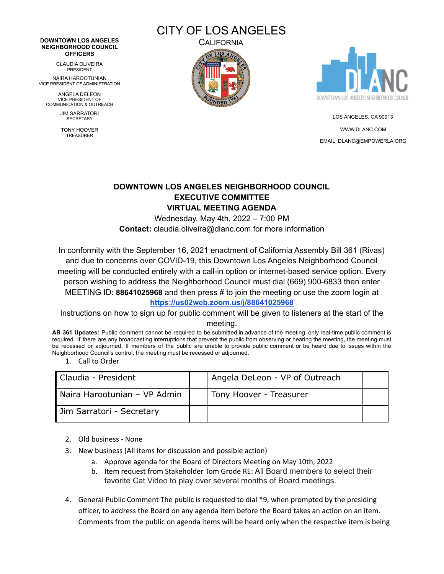## **DOWNTOWN LOS ANGELES NEIGHBORHOOD COUNCIL OFFICERS**

CLAUDIA OLIVEIRA PRESIDENT

NAIRA HAROOTUNIAN VICE PRESIDENT OF ADMINISTRATION

ANGELA DELEON VICE PRESIDENT OF COMMUNICATION & OUTREACH

> JIM SARRATORI **SECRETARY**

TONY HOOVER TREASURER



**CALIFORNIA** 





LOS ANGELES, CA 90013 [WWW.DLANC.COM](http://www.dlanc.com) EMAIL: [DLANC@EMPOWERLA.ORG](mailto:DLANC@EMPOWERLA.ORG)

## **DOWNTOWN LOS ANGELES NEIGHBORHOOD COUNCIL EXECUTIVE COMMITTEE VIRTUAL MEETING AGENDA**

Wednesday, May 4th, 2022 – 7:00 PM **Contact:** claudia.oliveira@dlanc.com for more information

In conformity with the September 16, 2021 enactment of California Assembly Bill 361 (Rivas) and due to concerns over COVID-19, this Downtown Los Angeles Neighborhood Council meeting will be conducted entirely with a call-in option or internet-based service option. Every person wishing to address the Neighborhood Council must dial (669) 900-6833 then enter MEETING ID: **88641025968** and then press # to join the meeting or use the zoom login at **<https://us02web.zoom.us/j/88641025968>**

Instructions on how to sign up for public comment will be given to listeners at the start of the meeting.

**AB 361 Updates:** Public comment cannot be required to be submitted in advance of the meeting, only real-time public comment is required. If there are any broadcasting interruptions that prevent the public from observing or hearing the meeting, the meeting must be recessed or adjourned. If members of the public are unable to provide public comment or be heard due to issues within the Neighborhood Council's control, the meeting must be recessed or adjourned.

1. Call to Order

| Claudia - President          | Angela DeLeon - VP of Outreach |  |
|------------------------------|--------------------------------|--|
| Naira Harootunian - VP Admin | Tony Hoover - Treasurer        |  |
| Jim Sarratori - Secretary    |                                |  |

- 2. Old business None
- 3. New business (All items for discussion and possible action)
	- a. Approve agenda for the Board of Directors Meeting on May 10th, 2022
	- b. Item request from Stakeholder Tom Grode RE: All Board members to select their favorite Cat Video to play over several months of Board meetings.
- 4. General Public Comment The public is requested to dial \*9, when prompted by the presiding officer, to address the Board on any agenda item before the Board takes an action on an item. Comments from the public on agenda items will be heard only when the respective item is being